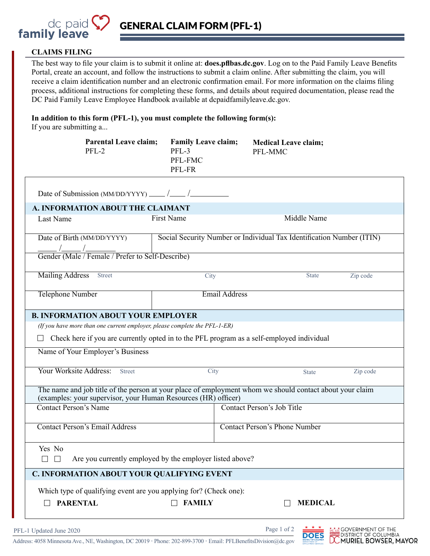

GENERAL CLAIM FORM (PFL-1)

## **CLAIMS FILING**

The best way to file your claim is to submit it online at: **does.pflbas.dc.gov**. Log on to the Paid Family Leave Benefits Portal, create an account, and follow the instructions to submit a claim online. After submitting the claim, you will receive a claim identification number and an electronic confirmation email. For more information on the claims filing process, additional instructions for completing these forms, and details about required documentation, please read the DC Paid Family Leave Employee Handbook available at dcpaidfamilyleave.dc.gov.

**In addition to this form (PFL-1), you must complete the following form(s):** 

If you are submitting a...

| <b>Parental Leave claim;</b><br>PFL-2                                                                                                                                      | <b>Family Leave claim;</b><br>PFL-3<br>PFL-FMC<br>PFL-FR              |             | <b>Medical Leave claim;</b><br>PFL-MMC |          |  |  |  |  |  |
|----------------------------------------------------------------------------------------------------------------------------------------------------------------------------|-----------------------------------------------------------------------|-------------|----------------------------------------|----------|--|--|--|--|--|
|                                                                                                                                                                            |                                                                       |             |                                        |          |  |  |  |  |  |
| A. INFORMATION ABOUT THE CLAIMANT                                                                                                                                          |                                                                       |             |                                        |          |  |  |  |  |  |
| Last Name                                                                                                                                                                  | First Name                                                            | Middle Name |                                        |          |  |  |  |  |  |
| Date of Birth (MM/DD/YYYY)                                                                                                                                                 | Social Security Number or Individual Tax Identification Number (ITIN) |             |                                        |          |  |  |  |  |  |
| $\frac{1}{\text{Gender (Male / Female / Prefer to Self-Describe)}}$                                                                                                        |                                                                       |             |                                        |          |  |  |  |  |  |
| <b>Mailing Address</b><br><b>Street</b>                                                                                                                                    | City                                                                  |             | <b>State</b>                           | Zip code |  |  |  |  |  |
| <b>Telephone Number</b>                                                                                                                                                    | <b>Email Address</b>                                                  |             |                                        |          |  |  |  |  |  |
| <b>B. INFORMATION ABOUT YOUR EMPLOYER</b>                                                                                                                                  |                                                                       |             |                                        |          |  |  |  |  |  |
| (If you have more than one current employer, please complete the PFL-1-ER)                                                                                                 |                                                                       |             |                                        |          |  |  |  |  |  |
| Check here if you are currently opted in to the PFL program as a self-employed individual                                                                                  |                                                                       |             |                                        |          |  |  |  |  |  |
| Name of Your Employer's Business                                                                                                                                           |                                                                       |             |                                        |          |  |  |  |  |  |
| <b>Your Worksite Address:</b><br><b>Street</b>                                                                                                                             | City                                                                  |             | <b>State</b>                           | Zip code |  |  |  |  |  |
| The name and job title of the person at your place of employment whom we should contact about your claim<br>(examples: your supervisor, your Human Resources (HR) officer) |                                                                       |             |                                        |          |  |  |  |  |  |
| <b>Contact Person's Name</b>                                                                                                                                               |                                                                       |             | <b>Contact Person's Job Title</b>      |          |  |  |  |  |  |
| <b>Contact Person's Email Address</b>                                                                                                                                      |                                                                       |             | <b>Contact Person's Phone Number</b>   |          |  |  |  |  |  |
| Yes No<br>Are you currently employed by the employer listed above?<br>$\Box$                                                                                               |                                                                       |             |                                        |          |  |  |  |  |  |
| C. INFORMATION ABOUT YOUR QUALIFYING EVENT                                                                                                                                 |                                                                       |             |                                        |          |  |  |  |  |  |
| Which type of qualifying event are you applying for? (Check one):<br><b>FAMILY</b><br><b>MEDICAL</b><br><b>PARENTAL</b>                                                    |                                                                       |             |                                        |          |  |  |  |  |  |

PFL-1 Updated June 2020 Page 1 of 2